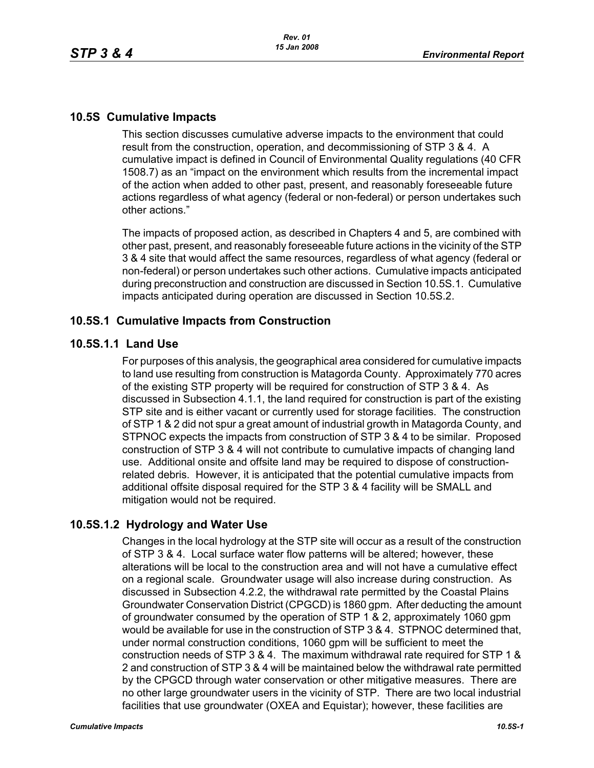### **10.5S Cumulative Impacts**

This section discusses cumulative adverse impacts to the environment that could result from the construction, operation, and decommissioning of STP 3 & 4. A cumulative impact is defined in Council of Environmental Quality regulations (40 CFR 1508.7) as an "impact on the environment which results from the incremental impact of the action when added to other past, present, and reasonably foreseeable future actions regardless of what agency (federal or non-federal) or person undertakes such other actions."

The impacts of proposed action, as described in Chapters 4 and 5, are combined with other past, present, and reasonably foreseeable future actions in the vicinity of the STP 3 & 4 site that would affect the same resources, regardless of what agency (federal or non-federal) or person undertakes such other actions. Cumulative impacts anticipated during preconstruction and construction are discussed in Section 10.5S.1. Cumulative impacts anticipated during operation are discussed in Section 10.5S.2.

### **10.5S.1 Cumulative Impacts from Construction**

### **10.5S.1.1 Land Use**

For purposes of this analysis, the geographical area considered for cumulative impacts to land use resulting from construction is Matagorda County. Approximately 770 acres of the existing STP property will be required for construction of STP 3 & 4. As discussed in Subsection 4.1.1, the land required for construction is part of the existing STP site and is either vacant or currently used for storage facilities. The construction of STP 1 & 2 did not spur a great amount of industrial growth in Matagorda County, and STPNOC expects the impacts from construction of STP 3 & 4 to be similar. Proposed construction of STP 3 & 4 will not contribute to cumulative impacts of changing land use. Additional onsite and offsite land may be required to dispose of constructionrelated debris. However, it is anticipated that the potential cumulative impacts from additional offsite disposal required for the STP 3 & 4 facility will be SMALL and mitigation would not be required.

## **10.5S.1.2 Hydrology and Water Use**

Changes in the local hydrology at the STP site will occur as a result of the construction of STP 3 & 4. Local surface water flow patterns will be altered; however, these alterations will be local to the construction area and will not have a cumulative effect on a regional scale. Groundwater usage will also increase during construction. As discussed in Subsection 4.2.2, the withdrawal rate permitted by the Coastal Plains Groundwater Conservation District (CPGCD) is 1860 gpm. After deducting the amount of groundwater consumed by the operation of STP 1 & 2, approximately 1060 gpm would be available for use in the construction of STP 3 & 4. STPNOC determined that, under normal construction conditions, 1060 gpm will be sufficient to meet the construction needs of STP 3 & 4. The maximum withdrawal rate required for STP 1 & 2 and construction of STP 3 & 4 will be maintained below the withdrawal rate permitted by the CPGCD through water conservation or other mitigative measures. There are no other large groundwater users in the vicinity of STP. There are two local industrial facilities that use groundwater (OXEA and Equistar); however, these facilities are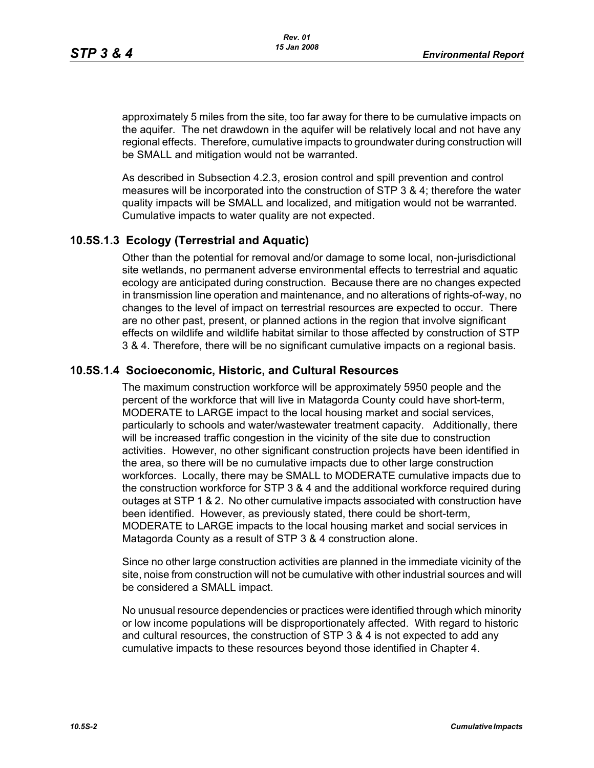approximately 5 miles from the site, too far away for there to be cumulative impacts on the aquifer. The net drawdown in the aquifer will be relatively local and not have any regional effects. Therefore, cumulative impacts to groundwater during construction will be SMALL and mitigation would not be warranted.

As described in Subsection 4.2.3, erosion control and spill prevention and control measures will be incorporated into the construction of STP 3 & 4; therefore the water quality impacts will be SMALL and localized, and mitigation would not be warranted. Cumulative impacts to water quality are not expected.

## **10.5S.1.3 Ecology (Terrestrial and Aquatic)**

Other than the potential for removal and/or damage to some local, non-jurisdictional site wetlands, no permanent adverse environmental effects to terrestrial and aquatic ecology are anticipated during construction. Because there are no changes expected in transmission line operation and maintenance, and no alterations of rights-of-way, no changes to the level of impact on terrestrial resources are expected to occur. There are no other past, present, or planned actions in the region that involve significant effects on wildlife and wildlife habitat similar to those affected by construction of STP 3 & 4. Therefore, there will be no significant cumulative impacts on a regional basis.

#### **10.5S.1.4 Socioeconomic, Historic, and Cultural Resources**

The maximum construction workforce will be approximately 5950 people and the percent of the workforce that will live in Matagorda County could have short-term, MODERATE to LARGE impact to the local housing market and social services, particularly to schools and water/wastewater treatment capacity. Additionally, there will be increased traffic congestion in the vicinity of the site due to construction activities. However, no other significant construction projects have been identified in the area, so there will be no cumulative impacts due to other large construction workforces. Locally, there may be SMALL to MODERATE cumulative impacts due to the construction workforce for STP 3 & 4 and the additional workforce required during outages at STP 1 & 2. No other cumulative impacts associated with construction have been identified. However, as previously stated, there could be short-term, MODERATE to LARGE impacts to the local housing market and social services in Matagorda County as a result of STP 3 & 4 construction alone.

Since no other large construction activities are planned in the immediate vicinity of the site, noise from construction will not be cumulative with other industrial sources and will be considered a SMALL impact.

No unusual resource dependencies or practices were identified through which minority or low income populations will be disproportionately affected. With regard to historic and cultural resources, the construction of STP 3 & 4 is not expected to add any cumulative impacts to these resources beyond those identified in Chapter 4.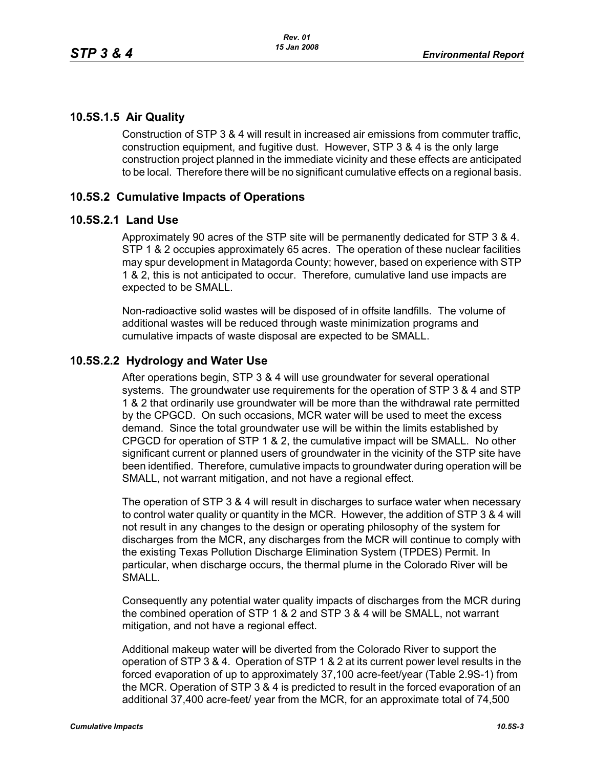## **10.5S.1.5 Air Quality**

Construction of STP 3 & 4 will result in increased air emissions from commuter traffic, construction equipment, and fugitive dust. However, STP 3 & 4 is the only large construction project planned in the immediate vicinity and these effects are anticipated to be local. Therefore there will be no significant cumulative effects on a regional basis.

# **10.5S.2 Cumulative Impacts of Operations**

### **10.5S.2.1 Land Use**

Approximately 90 acres of the STP site will be permanently dedicated for STP 3 & 4. STP 1 & 2 occupies approximately 65 acres. The operation of these nuclear facilities may spur development in Matagorda County; however, based on experience with STP 1 & 2, this is not anticipated to occur. Therefore, cumulative land use impacts are expected to be SMALL.

Non-radioactive solid wastes will be disposed of in offsite landfills. The volume of additional wastes will be reduced through waste minimization programs and cumulative impacts of waste disposal are expected to be SMALL.

## **10.5S.2.2 Hydrology and Water Use**

After operations begin, STP 3 & 4 will use groundwater for several operational systems. The groundwater use requirements for the operation of STP 3 & 4 and STP 1 & 2 that ordinarily use groundwater will be more than the withdrawal rate permitted by the CPGCD. On such occasions, MCR water will be used to meet the excess demand. Since the total groundwater use will be within the limits established by CPGCD for operation of STP 1 & 2, the cumulative impact will be SMALL. No other significant current or planned users of groundwater in the vicinity of the STP site have been identified. Therefore, cumulative impacts to groundwater during operation will be SMALL, not warrant mitigation, and not have a regional effect.

The operation of STP 3 & 4 will result in discharges to surface water when necessary to control water quality or quantity in the MCR. However, the addition of STP 3 & 4 will not result in any changes to the design or operating philosophy of the system for discharges from the MCR, any discharges from the MCR will continue to comply with the existing Texas Pollution Discharge Elimination System (TPDES) Permit. In particular, when discharge occurs, the thermal plume in the Colorado River will be SMALL.

Consequently any potential water quality impacts of discharges from the MCR during the combined operation of STP 1 & 2 and STP 3 & 4 will be SMALL, not warrant mitigation, and not have a regional effect.

Additional makeup water will be diverted from the Colorado River to support the operation of STP 3 & 4. Operation of STP 1 & 2 at its current power level results in the forced evaporation of up to approximately 37,100 acre-feet/year (Table 2.9S-1) from the MCR. Operation of STP 3 & 4 is predicted to result in the forced evaporation of an additional 37,400 acre-feet/ year from the MCR, for an approximate total of 74,500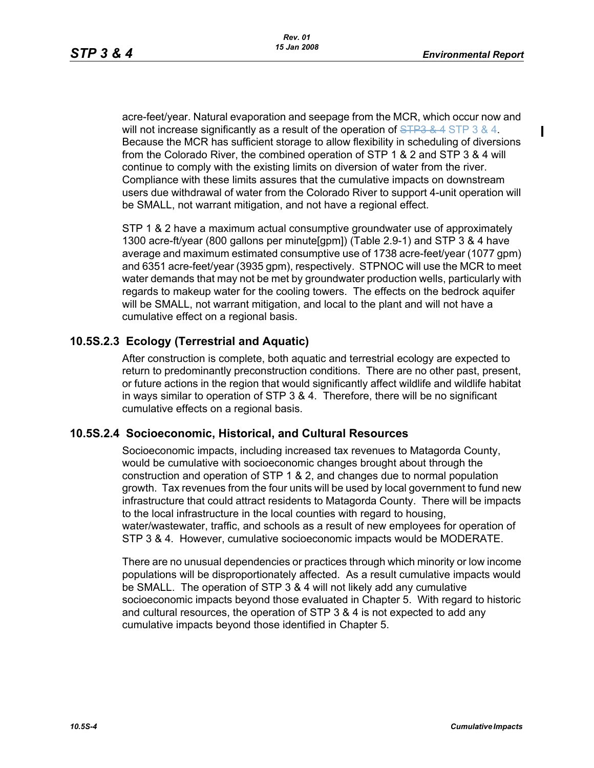Ι

acre-feet/year. Natural evaporation and seepage from the MCR, which occur now and will not increase significantly as a result of the operation of  $\overline{\text{SIPS 8.4}}$  STP 3 & 4. Because the MCR has sufficient storage to allow flexibility in scheduling of diversions from the Colorado River, the combined operation of STP 1 & 2 and STP 3 & 4 will continue to comply with the existing limits on diversion of water from the river. Compliance with these limits assures that the cumulative impacts on downstream users due withdrawal of water from the Colorado River to support 4-unit operation will be SMALL, not warrant mitigation, and not have a regional effect.

STP 1 & 2 have a maximum actual consumptive groundwater use of approximately 1300 acre-ft/year (800 gallons per minute[gpm]) (Table 2.9-1) and STP 3 & 4 have average and maximum estimated consumptive use of 1738 acre-feet/year (1077 gpm) and 6351 acre-feet/year (3935 gpm), respectively. STPNOC will use the MCR to meet water demands that may not be met by groundwater production wells, particularly with regards to makeup water for the cooling towers. The effects on the bedrock aquifer will be SMALL, not warrant mitigation, and local to the plant and will not have a cumulative effect on a regional basis.

# **10.5S.2.3 Ecology (Terrestrial and Aquatic)**

After construction is complete, both aquatic and terrestrial ecology are expected to return to predominantly preconstruction conditions. There are no other past, present, or future actions in the region that would significantly affect wildlife and wildlife habitat in ways similar to operation of STP 3 & 4. Therefore, there will be no significant cumulative effects on a regional basis.

#### **10.5S.2.4 Socioeconomic, Historical, and Cultural Resources**

Socioeconomic impacts, including increased tax revenues to Matagorda County, would be cumulative with socioeconomic changes brought about through the construction and operation of STP 1 & 2, and changes due to normal population growth. Tax revenues from the four units will be used by local government to fund new infrastructure that could attract residents to Matagorda County. There will be impacts to the local infrastructure in the local counties with regard to housing, water/wastewater, traffic, and schools as a result of new employees for operation of STP 3 & 4. However, cumulative socioeconomic impacts would be MODERATE.

There are no unusual dependencies or practices through which minority or low income populations will be disproportionately affected. As a result cumulative impacts would be SMALL. The operation of STP 3 & 4 will not likely add any cumulative socioeconomic impacts beyond those evaluated in Chapter 5. With regard to historic and cultural resources, the operation of STP 3 & 4 is not expected to add any cumulative impacts beyond those identified in Chapter 5.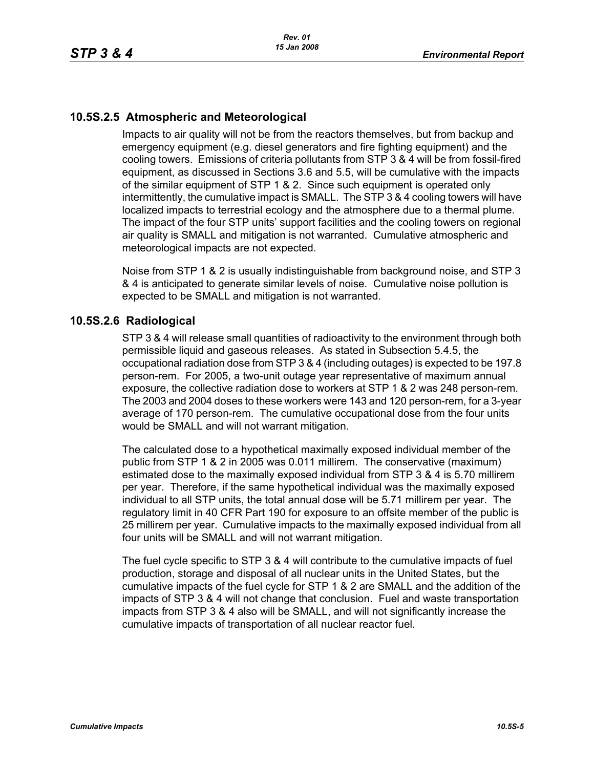# **10.5S.2.5 Atmospheric and Meteorological**

Impacts to air quality will not be from the reactors themselves, but from backup and emergency equipment (e.g. diesel generators and fire fighting equipment) and the cooling towers. Emissions of criteria pollutants from STP 3 & 4 will be from fossil-fired equipment, as discussed in Sections 3.6 and 5.5, will be cumulative with the impacts of the similar equipment of STP 1 & 2. Since such equipment is operated only intermittently, the cumulative impact is SMALL. The STP 3 & 4 cooling towers will have localized impacts to terrestrial ecology and the atmosphere due to a thermal plume. The impact of the four STP units' support facilities and the cooling towers on regional air quality is SMALL and mitigation is not warranted. Cumulative atmospheric and meteorological impacts are not expected.

Noise from STP 1 & 2 is usually indistinguishable from background noise, and STP 3 & 4 is anticipated to generate similar levels of noise. Cumulative noise pollution is expected to be SMALL and mitigation is not warranted.

## **10.5S.2.6 Radiological**

STP 3 & 4 will release small quantities of radioactivity to the environment through both permissible liquid and gaseous releases. As stated in Subsection 5.4.5, the occupational radiation dose from STP 3 & 4 (including outages) is expected to be 197.8 person-rem. For 2005, a two-unit outage year representative of maximum annual exposure, the collective radiation dose to workers at STP 1 & 2 was 248 person-rem. The 2003 and 2004 doses to these workers were 143 and 120 person-rem, for a 3-year average of 170 person-rem. The cumulative occupational dose from the four units would be SMALL and will not warrant mitigation.

The calculated dose to a hypothetical maximally exposed individual member of the public from STP 1 & 2 in 2005 was 0.011 millirem. The conservative (maximum) estimated dose to the maximally exposed individual from STP 3 & 4 is 5.70 millirem per year. Therefore, if the same hypothetical individual was the maximally exposed individual to all STP units, the total annual dose will be 5.71 millirem per year. The regulatory limit in 40 CFR Part 190 for exposure to an offsite member of the public is 25 millirem per year. Cumulative impacts to the maximally exposed individual from all four units will be SMALL and will not warrant mitigation.

The fuel cycle specific to STP 3 & 4 will contribute to the cumulative impacts of fuel production, storage and disposal of all nuclear units in the United States, but the cumulative impacts of the fuel cycle for STP 1 & 2 are SMALL and the addition of the impacts of STP 3 & 4 will not change that conclusion. Fuel and waste transportation impacts from STP 3 & 4 also will be SMALL, and will not significantly increase the cumulative impacts of transportation of all nuclear reactor fuel.